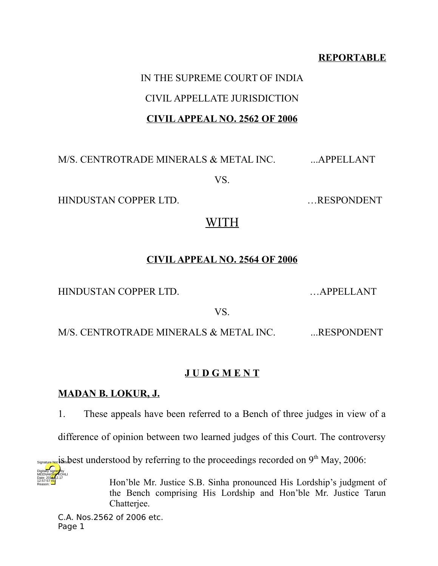#### **REPORTABLE**

# IN THE SUPREME COURT OF INDIA CIVIL APPELLATE JURISDICTION **CIVIL APPEAL NO. 2562 OF 2006**

M/S. CENTROTRADE MINERALS & METAL INC. ...APPELLANT

VS.

HINDUSTAN COPPER LTD. …RESPONDENT

# WITH

## **CIVIL APPEAL NO. 2564 OF 2006**

HINDUSTAN COPPER LTD. …APPELLANT

VS.

M/S. CENTROTRADE MINERALS & METAL INC. .... RESPONDENT

## **J U D G M E N T**

## **MADAN B. LOKUR, J.**

1. These appeals have been referred to a Bench of three judges in view of a

difference of opinion between two learned judges of this Court. The controversy

 $s_{\text{Synalyte-NQ}}$  is  $s_{\text{in}}$  best understood by referring to the proceedings recorded on 9<sup>th</sup> May, 2006: Digitally signed by

> Hon'ble Mr. Justice S.B. Sinha pronounced His Lordship's judgment of the Bench comprising His Lordship and Hon'ble Mr. Justice Tarun Chatteriee.

C.A. Nos.2562 of 2006 etc. Page 1

MEENAK<mark>SH</mark>AKOHLI Date: 2016.12.17 12:57:57 IST Reason: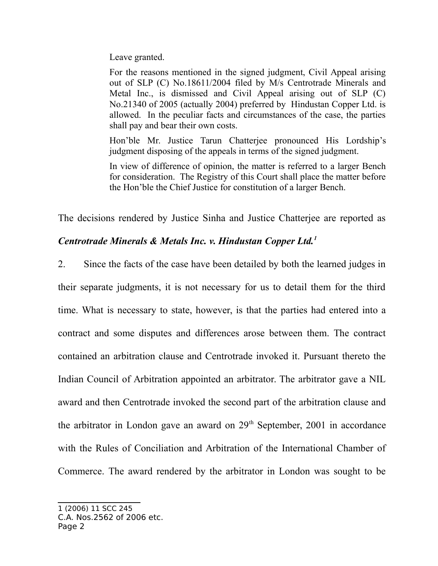Leave granted.

For the reasons mentioned in the signed judgment, Civil Appeal arising out of SLP (C) No.18611/2004 filed by M/s Centrotrade Minerals and Metal Inc., is dismissed and Civil Appeal arising out of SLP (C) No.21340 of 2005 (actually 2004) preferred by Hindustan Copper Ltd. is allowed. In the peculiar facts and circumstances of the case, the parties shall pay and bear their own costs.

Hon'ble Mr. Justice Tarun Chatterjee pronounced His Lordship's judgment disposing of the appeals in terms of the signed judgment.

In view of difference of opinion, the matter is referred to a larger Bench for consideration. The Registry of this Court shall place the matter before the Hon'ble the Chief Justice for constitution of a larger Bench.

The decisions rendered by Justice Sinha and Justice Chatterjee are reported as

## *Centrotrade Minerals & Metals Inc. v. Hindustan Copper Ltd.<sup>1</sup>*

2. Since the facts of the case have been detailed by both the learned judges in their separate judgments, it is not necessary for us to detail them for the third time. What is necessary to state, however, is that the parties had entered into a contract and some disputes and differences arose between them. The contract contained an arbitration clause and Centrotrade invoked it. Pursuant thereto the Indian Council of Arbitration appointed an arbitrator. The arbitrator gave a NIL award and then Centrotrade invoked the second part of the arbitration clause and the arbitrator in London gave an award on  $29<sup>th</sup>$  September, 2001 in accordance with the Rules of Conciliation and Arbitration of the International Chamber of Commerce. The award rendered by the arbitrator in London was sought to be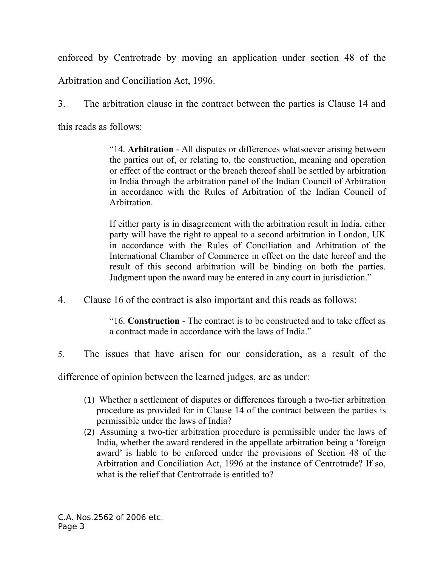enforced by Centrotrade by moving an application under section 48 of the

Arbitration and Conciliation Act, 1996.

3. The arbitration clause in the contract between the parties is Clause 14 and this reads as follows:

> "14. **Arbitration** - All disputes or differences whatsoever arising between the parties out of, or relating to, the construction, meaning and operation or effect of the contract or the breach thereof shall be settled by arbitration in India through the arbitration panel of the Indian Council of Arbitration in accordance with the Rules of Arbitration of the Indian Council of Arbitration.

> If either party is in disagreement with the arbitration result in India, either party will have the right to appeal to a second arbitration in London, UK in accordance with the Rules of Conciliation and Arbitration of the International Chamber of Commerce in effect on the date hereof and the result of this second arbitration will be binding on both the parties. Judgment upon the award may be entered in any court in jurisdiction."

4. Clause 16 of the contract is also important and this reads as follows:

"16. **Construction** - The contract is to be constructed and to take effect as a contract made in accordance with the laws of India."

5. The issues that have arisen for our consideration, as a result of the

difference of opinion between the learned judges, are as under:

- (1) Whether a settlement of disputes or differences through a two-tier arbitration procedure as provided for in Clause 14 of the contract between the parties is permissible under the laws of India?
- (2) Assuming a two-tier arbitration procedure is permissible under the laws of India, whether the award rendered in the appellate arbitration being a 'foreign award' is liable to be enforced under the provisions of Section 48 of the Arbitration and Conciliation Act, 1996 at the instance of Centrotrade? If so, what is the relief that Centrotrade is entitled to?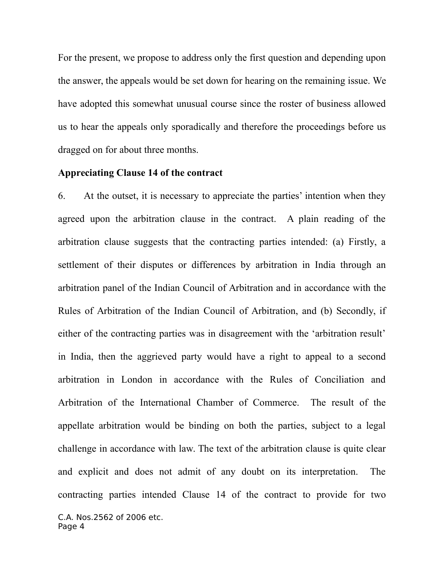For the present, we propose to address only the first question and depending upon the answer, the appeals would be set down for hearing on the remaining issue. We have adopted this somewhat unusual course since the roster of business allowed us to hear the appeals only sporadically and therefore the proceedings before us dragged on for about three months.

#### **Appreciating Clause 14 of the contract**

6. At the outset, it is necessary to appreciate the parties' intention when they agreed upon the arbitration clause in the contract. A plain reading of the arbitration clause suggests that the contracting parties intended: (a) Firstly, a settlement of their disputes or differences by arbitration in India through an arbitration panel of the Indian Council of Arbitration and in accordance with the Rules of Arbitration of the Indian Council of Arbitration, and (b) Secondly, if either of the contracting parties was in disagreement with the 'arbitration result' in India, then the aggrieved party would have a right to appeal to a second arbitration in London in accordance with the Rules of Conciliation and Arbitration of the International Chamber of Commerce. The result of the appellate arbitration would be binding on both the parties, subject to a legal challenge in accordance with law. The text of the arbitration clause is quite clear and explicit and does not admit of any doubt on its interpretation. The contracting parties intended Clause 14 of the contract to provide for two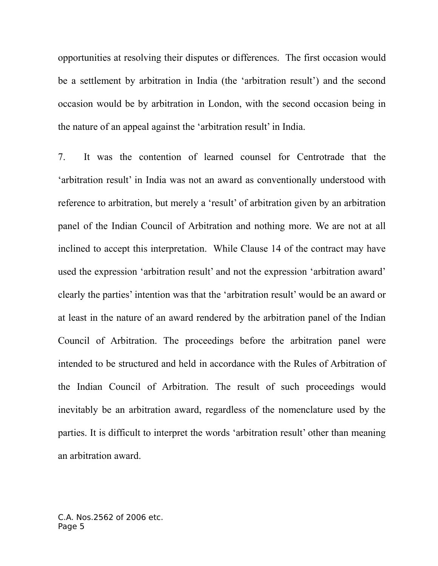opportunities at resolving their disputes or differences. The first occasion would be a settlement by arbitration in India (the 'arbitration result') and the second occasion would be by arbitration in London, with the second occasion being in the nature of an appeal against the 'arbitration result' in India.

7. It was the contention of learned counsel for Centrotrade that the 'arbitration result' in India was not an award as conventionally understood with reference to arbitration, but merely a 'result' of arbitration given by an arbitration panel of the Indian Council of Arbitration and nothing more. We are not at all inclined to accept this interpretation. While Clause 14 of the contract may have used the expression 'arbitration result' and not the expression 'arbitration award' clearly the parties' intention was that the 'arbitration result' would be an award or at least in the nature of an award rendered by the arbitration panel of the Indian Council of Arbitration. The proceedings before the arbitration panel were intended to be structured and held in accordance with the Rules of Arbitration of the Indian Council of Arbitration. The result of such proceedings would inevitably be an arbitration award, regardless of the nomenclature used by the parties. It is difficult to interpret the words 'arbitration result' other than meaning an arbitration award.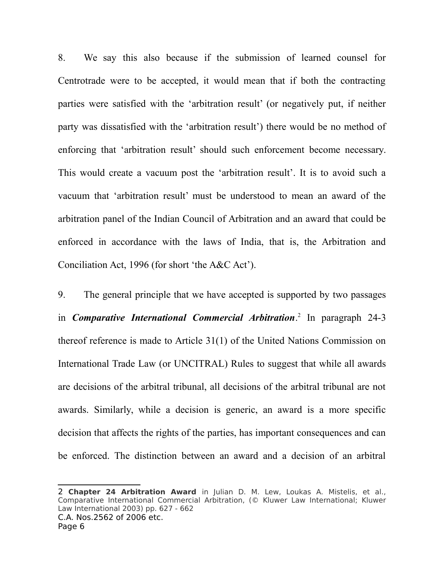8. We say this also because if the submission of learned counsel for Centrotrade were to be accepted, it would mean that if both the contracting parties were satisfied with the 'arbitration result' (or negatively put, if neither party was dissatisfied with the 'arbitration result') there would be no method of enforcing that 'arbitration result' should such enforcement become necessary. This would create a vacuum post the 'arbitration result'. It is to avoid such a vacuum that 'arbitration result' must be understood to mean an award of the arbitration panel of the Indian Council of Arbitration and an award that could be enforced in accordance with the laws of India, that is, the Arbitration and Conciliation Act, 1996 (for short 'the A&C Act').

9. The general principle that we have accepted is supported by two passages in *Comparative International Commercial Arbitration*. 2 In paragraph 24-3 thereof reference is made to Article 31(1) of the United Nations Commission on International Trade Law (or UNCITRAL) Rules to suggest that while all awards are decisions of the arbitral tribunal, all decisions of the arbitral tribunal are not awards. Similarly, while a decision is generic, an award is a more specific decision that affects the rights of the parties, has important consequences and can be enforced. The distinction between an award and a decision of an arbitral

<sup>2</sup> **Chapter 24 Arbitration Award** in Julian D. M. Lew, Loukas A. Mistelis, et al., Comparative International Commercial Arbitration, (© Kluwer Law International; Kluwer Law International 2003) pp. 627 - 662 C.A. Nos.2562 of 2006 etc.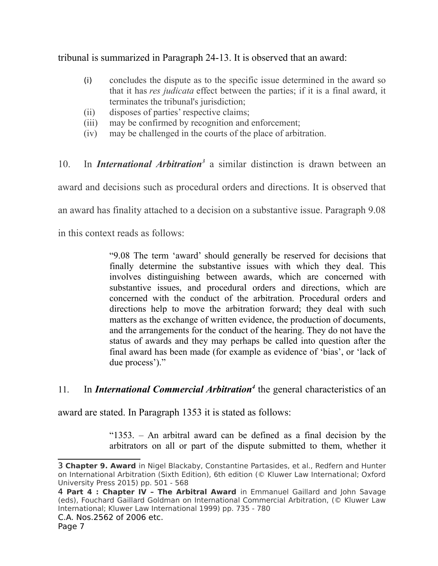tribunal is summarized in Paragraph 24-13. It is observed that an award:

- (i) concludes the dispute as to the specific issue determined in the award so that it has *res judicata* effect between the parties; if it is a final award, it terminates the tribunal's jurisdiction;
- (ii) disposes of parties' respective claims;
- (iii) may be confirmed by recognition and enforcement;
- (iv) may be challenged in the courts of the place of arbitration.

10. In *International Arbitration<sup>3</sup>* a similar distinction is drawn between an award and decisions such as procedural orders and directions. It is observed that an award has finality attached to a decision on a substantive issue. Paragraph 9.08 in this context reads as follows:

> "9.08 The term 'award' should generally be reserved for decisions that finally determine the substantive issues with which they deal. This involves distinguishing between awards, which are concerned with substantive issues, and procedural orders and directions, which are concerned with the conduct of the arbitration. Procedural orders and directions help to move the arbitration forward; they deal with such matters as the exchange of written evidence, the production of documents, and the arrangements for the conduct of the hearing. They do not have the status of awards and they may perhaps be called into question after the final award has been made (for example as evidence of 'bias', or 'lack of due process')."

11. In *International Commercial Arbitration<sup>4</sup>* the general characteristics of an

award are stated. In Paragraph 1353 it is stated as follows:

"1353. – An arbitral award can be defined as a final decision by the arbitrators on all or part of the dispute submitted to them, whether it

<sup>3</sup> **Chapter 9. Award** in Nigel Blackaby, Constantine Partasides, et al., Redfern and Hunter on International Arbitration (Sixth Edition), 6th edition (© Kluwer Law International; Oxford University Press 2015) pp. 501 - 568

<sup>4</sup> **Part 4 : Chapter IV – The Arbitral Award** in Emmanuel Gaillard and John Savage (eds), Fouchard Gaillard Goldman on International Commercial Arbitration, (© Kluwer Law International; Kluwer Law International 1999) pp. 735 - 780 C.A. Nos.2562 of 2006 etc.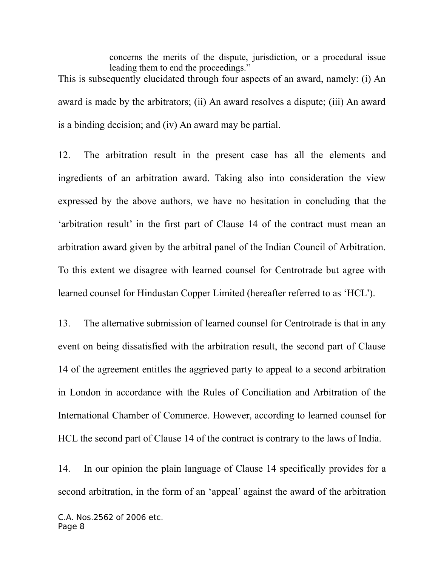concerns the merits of the dispute, jurisdiction, or a procedural issue leading them to end the proceedings." This is subsequently elucidated through four aspects of an award, namely: (i) An award is made by the arbitrators; (ii) An award resolves a dispute; (iii) An award is a binding decision; and (iv) An award may be partial.

12. The arbitration result in the present case has all the elements and ingredients of an arbitration award. Taking also into consideration the view expressed by the above authors, we have no hesitation in concluding that the 'arbitration result' in the first part of Clause 14 of the contract must mean an arbitration award given by the arbitral panel of the Indian Council of Arbitration. To this extent we disagree with learned counsel for Centrotrade but agree with learned counsel for Hindustan Copper Limited (hereafter referred to as 'HCL').

13. The alternative submission of learned counsel for Centrotrade is that in any event on being dissatisfied with the arbitration result, the second part of Clause 14 of the agreement entitles the aggrieved party to appeal to a second arbitration in London in accordance with the Rules of Conciliation and Arbitration of the International Chamber of Commerce. However, according to learned counsel for HCL the second part of Clause 14 of the contract is contrary to the laws of India.

14. In our opinion the plain language of Clause 14 specifically provides for a second arbitration, in the form of an 'appeal' against the award of the arbitration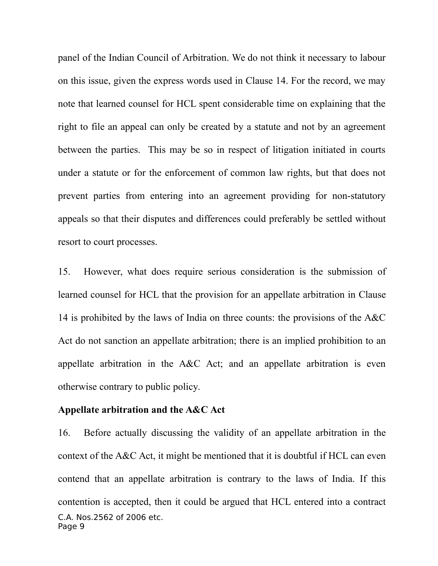panel of the Indian Council of Arbitration. We do not think it necessary to labour on this issue, given the express words used in Clause 14. For the record, we may note that learned counsel for HCL spent considerable time on explaining that the right to file an appeal can only be created by a statute and not by an agreement between the parties. This may be so in respect of litigation initiated in courts under a statute or for the enforcement of common law rights, but that does not prevent parties from entering into an agreement providing for non-statutory appeals so that their disputes and differences could preferably be settled without resort to court processes.

15. However, what does require serious consideration is the submission of learned counsel for HCL that the provision for an appellate arbitration in Clause 14 is prohibited by the laws of India on three counts: the provisions of the A&C Act do not sanction an appellate arbitration; there is an implied prohibition to an appellate arbitration in the A&C Act; and an appellate arbitration is even otherwise contrary to public policy.

#### **Appellate arbitration and the A&C Act**

16. Before actually discussing the validity of an appellate arbitration in the context of the A&C Act, it might be mentioned that it is doubtful if HCL can even contend that an appellate arbitration is contrary to the laws of India. If this contention is accepted, then it could be argued that HCL entered into a contract C.A. Nos.2562 of 2006 etc. Page 9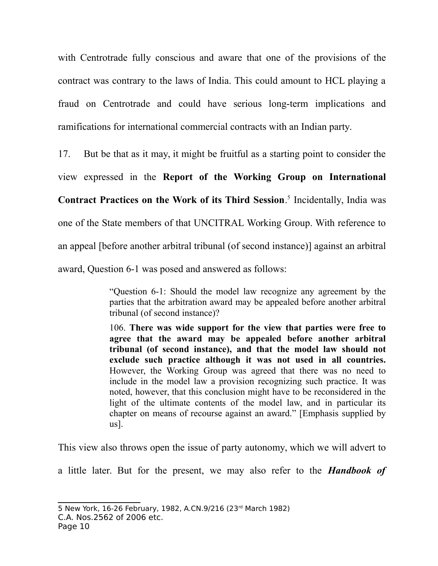with Centrotrade fully conscious and aware that one of the provisions of the contract was contrary to the laws of India. This could amount to HCL playing a fraud on Centrotrade and could have serious long-term implications and ramifications for international commercial contracts with an Indian party.

17. But be that as it may, it might be fruitful as a starting point to consider the view expressed in the **Report of the Working Group on International Contract Practices on the Work of its Third Session**. 5 Incidentally, India was one of the State members of that UNCITRAL Working Group. With reference to an appeal [before another arbitral tribunal (of second instance)] against an arbitral award, Question 6-1 was posed and answered as follows:

> "Question 6-1: Should the model law recognize any agreement by the parties that the arbitration award may be appealed before another arbitral tribunal (of second instance)?

> 106. **There was wide support for the view that parties were free to agree that the award may be appealed before another arbitral tribunal (of second instance), and that the model law should not exclude such practice although it was not used in all countries.** However, the Working Group was agreed that there was no need to include in the model law a provision recognizing such practice. It was noted, however, that this conclusion might have to be reconsidered in the light of the ultimate contents of the model law, and in particular its chapter on means of recourse against an award." [Emphasis supplied by us].

This view also throws open the issue of party autonomy, which we will advert to

a little later. But for the present, we may also refer to the *Handbook of*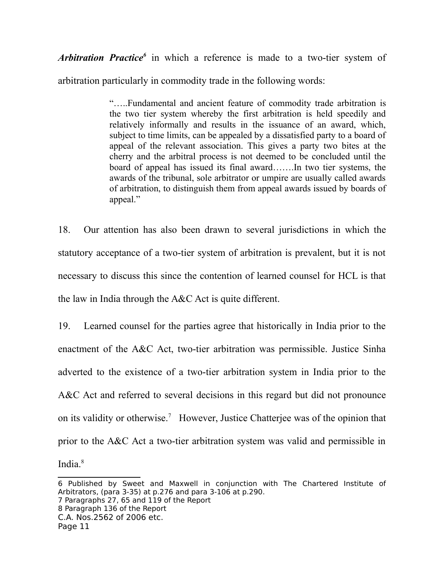*Arbitration Practice<sup>6</sup>* in which a reference is made to a two-tier system of arbitration particularly in commodity trade in the following words:

> "…..Fundamental and ancient feature of commodity trade arbitration is the two tier system whereby the first arbitration is held speedily and relatively informally and results in the issuance of an award, which, subject to time limits, can be appealed by a dissatisfied party to a board of appeal of the relevant association. This gives a party two bites at the cherry and the arbitral process is not deemed to be concluded until the board of appeal has issued its final award…….In two tier systems, the awards of the tribunal, sole arbitrator or umpire are usually called awards of arbitration, to distinguish them from appeal awards issued by boards of appeal."

18. Our attention has also been drawn to several jurisdictions in which the statutory acceptance of a two-tier system of arbitration is prevalent, but it is not necessary to discuss this since the contention of learned counsel for HCL is that the law in India through the A&C Act is quite different.

19. Learned counsel for the parties agree that historically in India prior to the enactment of the A&C Act, two-tier arbitration was permissible. Justice Sinha adverted to the existence of a two-tier arbitration system in India prior to the A&C Act and referred to several decisions in this regard but did not pronounce on its validity or otherwise.<sup>7</sup> However, Justice Chatterjee was of the opinion that prior to the A&C Act a two-tier arbitration system was valid and permissible in India.<sup>8</sup>

7 Paragraphs 27, 65 and 119 of the Report

8 Paragraph 136 of the Report

C.A. Nos.2562 of 2006 etc.

<sup>6</sup> Published by Sweet and Maxwell in conjunction with The Chartered Institute of Arbitrators, (para 3-35) at p.276 and para 3-106 at p.290.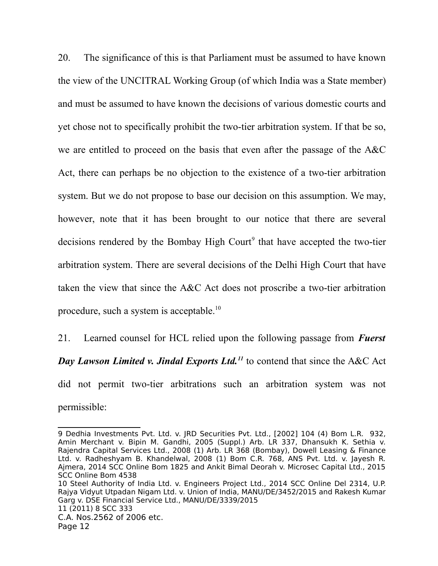20. The significance of this is that Parliament must be assumed to have known the view of the UNCITRAL Working Group (of which India was a State member) and must be assumed to have known the decisions of various domestic courts and yet chose not to specifically prohibit the two-tier arbitration system. If that be so, we are entitled to proceed on the basis that even after the passage of the A&C Act, there can perhaps be no objection to the existence of a two-tier arbitration system. But we do not propose to base our decision on this assumption. We may, however, note that it has been brought to our notice that there are several decisions rendered by the Bombay High Court<sup>9</sup> that have accepted the two-tier arbitration system. There are several decisions of the Delhi High Court that have taken the view that since the A&C Act does not proscribe a two-tier arbitration procedure, such a system is acceptable.<sup>10</sup>

21. Learned counsel for HCL relied upon the following passage from *Fuerst Day Lawson Limited v. Jindal Exports Ltd.<sup>11</sup>* to contend that since the A&C Act did not permit two-tier arbitrations such an arbitration system was not permissible:

10 Steel Authority of India Ltd. v. Engineers Project Ltd., 2014 SCC Online Del 2314, U.P. Rajya Vidyut Utpadan Nigam Ltd. v. Union of India, MANU/DE/3452/2015 and Rakesh Kumar Garg v. DSE Financial Service Ltd., MANU/DE/3339/2015 11 (2011) 8 SCC 333 C.A. Nos.2562 of 2006 etc.

<sup>9</sup> Dedhia Investments Pvt. Ltd. v. JRD Securities Pvt. Ltd., [2002] 104 (4) Bom L.R. 932, Amin Merchant v. Bipin M. Gandhi, 2005 (Suppl.) Arb. LR 337, Dhansukh K. Sethia v. Rajendra Capital Services Ltd., 2008 (1) Arb. LR 368 (Bombay), Dowell Leasing & Finance Ltd. v. Radheshyam B. Khandelwal, 2008 (1) Bom C.R. 768, ANS Pvt. Ltd. v. Jayesh R. Ajmera, 2014 SCC Online Bom 1825 and Ankit Bimal Deorah v. Microsec Capital Ltd., 2015 SCC Online Bom 4538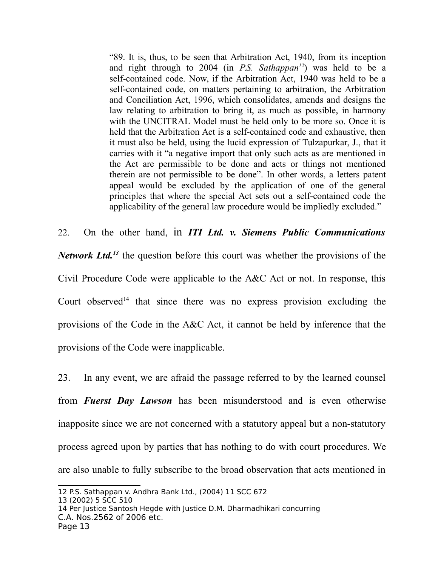"89. It is, thus, to be seen that Arbitration Act, 1940, from its inception and right through to 2004 (in *P.S. Sathappan<sup>12</sup>*) was held to be a self-contained code. Now, if the Arbitration Act, 1940 was held to be a self-contained code, on matters pertaining to arbitration, the Arbitration and Conciliation Act, 1996, which consolidates, amends and designs the law relating to arbitration to bring it, as much as possible, in harmony with the UNCITRAL Model must be held only to be more so. Once it is held that the Arbitration Act is a self-contained code and exhaustive, then it must also be held, using the lucid expression of Tulzapurkar, J., that it carries with it "a negative import that only such acts as are mentioned in the Act are permissible to be done and acts or things not mentioned therein are not permissible to be done". In other words, a letters patent appeal would be excluded by the application of one of the general principles that where the special Act sets out a self-contained code the applicability of the general law procedure would be impliedly excluded."

22. On the other hand, in *ITI Ltd. v. Siemens Public Communications Network Ltd.*<sup>13</sup> the question before this court was whether the provisions of the

Civil Procedure Code were applicable to the A&C Act or not. In response, this Court observed<sup>14</sup> that since there was no express provision excluding the provisions of the Code in the A&C Act, it cannot be held by inference that the provisions of the Code were inapplicable.

23. In any event, we are afraid the passage referred to by the learned counsel from *Fuerst Day Lawson* has been misunderstood and is even otherwise inapposite since we are not concerned with a statutory appeal but a non-statutory process agreed upon by parties that has nothing to do with court procedures. We are also unable to fully subscribe to the broad observation that acts mentioned in

<sup>12</sup> P.S. Sathappan v. Andhra Bank Ltd., (2004) 11 SCC 672

<sup>13 (2002) 5</sup> SCC 510

<sup>14</sup> Per Justice Santosh Hegde with Justice D.M. Dharmadhikari concurring C.A. Nos.2562 of 2006 etc.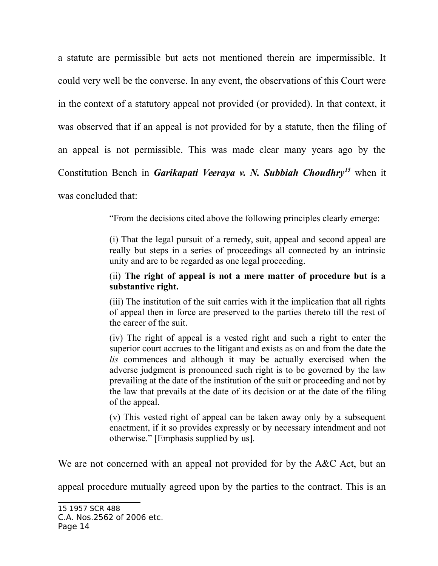a statute are permissible but acts not mentioned therein are impermissible. It could very well be the converse. In any event, the observations of this Court were in the context of a statutory appeal not provided (or provided). In that context, it was observed that if an appeal is not provided for by a statute, then the filing of an appeal is not permissible. This was made clear many years ago by the Constitution Bench in *Garikapati Veeraya v. N. Subbiah Choudhry<sup>15</sup>* when it

was concluded that:

"From the decisions cited above the following principles clearly emerge:

(i) That the legal pursuit of a remedy, suit, appeal and second appeal are really but steps in a series of proceedings all connected by an intrinsic unity and are to be regarded as one legal proceeding.

#### (ii) **The right of appeal is not a mere matter of procedure but is a substantive right.**

(iii) The institution of the suit carries with it the implication that all rights of appeal then in force are preserved to the parties thereto till the rest of the career of the suit.

(iv) The right of appeal is a vested right and such a right to enter the superior court accrues to the litigant and exists as on and from the date the *lis* commences and although it may be actually exercised when the adverse judgment is pronounced such right is to be governed by the law prevailing at the date of the institution of the suit or proceeding and not by the law that prevails at the date of its decision or at the date of the filing of the appeal.

(v) This vested right of appeal can be taken away only by a subsequent enactment, if it so provides expressly or by necessary intendment and not otherwise." [Emphasis supplied by us].

We are not concerned with an appeal not provided for by the A&C Act, but an

appeal procedure mutually agreed upon by the parties to the contract. This is an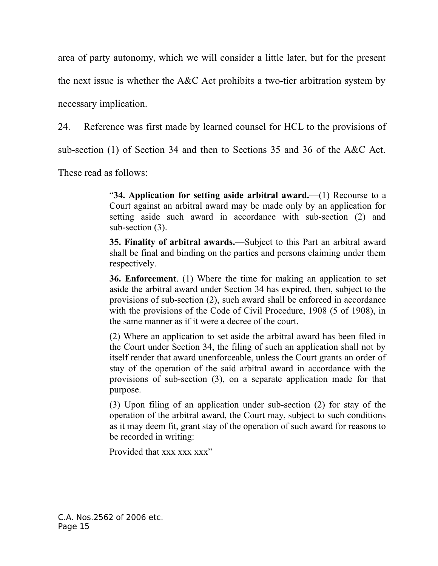area of party autonomy, which we will consider a little later, but for the present

the next issue is whether the A&C Act prohibits a two-tier arbitration system by

necessary implication.

24. Reference was first made by learned counsel for HCL to the provisions of

sub-section (1) of Section 34 and then to Sections 35 and 36 of the A&C Act.

These read as follows:

"**34. Application for setting aside arbitral award.—**(1) Recourse to a Court against an arbitral award may be made only by an application for setting aside such award in accordance with sub-section (2) and sub-section (3).

**35. Finality of arbitral awards.—**Subject to this Part an arbitral award shall be final and binding on the parties and persons claiming under them respectively.

**36. Enforcement**. (1) Where the time for making an application to set aside the arbitral award under Section 34 has expired, then, subject to the provisions of sub-section (2), such award shall be enforced in accordance with the provisions of the Code of Civil Procedure, 1908 (5 of 1908), in the same manner as if it were a decree of the court.

(2) Where an application to set aside the arbitral award has been filed in the Court under Section 34, the filing of such an application shall not by itself render that award unenforceable, unless the Court grants an order of stay of the operation of the said arbitral award in accordance with the provisions of sub-section (3), on a separate application made for that purpose.

(3) Upon filing of an application under sub-section (2) for stay of the operation of the arbitral award, the Court may, subject to such conditions as it may deem fit, grant stay of the operation of such award for reasons to be recorded in writing:

Provided that xxx xxx xxx"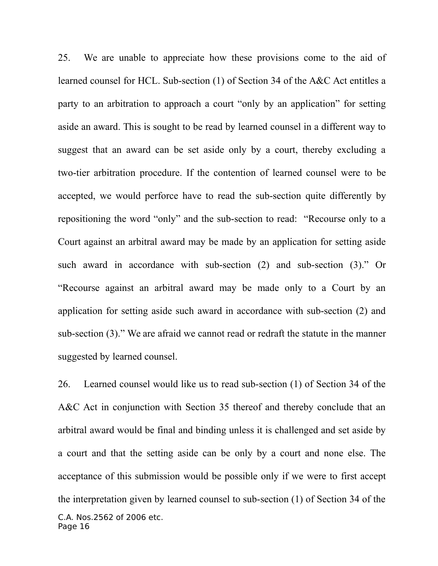25. We are unable to appreciate how these provisions come to the aid of learned counsel for HCL. Sub-section (1) of Section 34 of the A&C Act entitles a party to an arbitration to approach a court "only by an application" for setting aside an award. This is sought to be read by learned counsel in a different way to suggest that an award can be set aside only by a court, thereby excluding a two-tier arbitration procedure. If the contention of learned counsel were to be accepted, we would perforce have to read the sub-section quite differently by repositioning the word "only" and the sub-section to read: "Recourse only to a Court against an arbitral award may be made by an application for setting aside such award in accordance with sub-section (2) and sub-section (3)." Or "Recourse against an arbitral award may be made only to a Court by an application for setting aside such award in accordance with sub-section (2) and sub-section (3)." We are afraid we cannot read or redraft the statute in the manner suggested by learned counsel.

26. Learned counsel would like us to read sub-section (1) of Section 34 of the A&C Act in conjunction with Section 35 thereof and thereby conclude that an arbitral award would be final and binding unless it is challenged and set aside by a court and that the setting aside can be only by a court and none else. The acceptance of this submission would be possible only if we were to first accept the interpretation given by learned counsel to sub-section (1) of Section 34 of the C.A. Nos.2562 of 2006 etc. Page 16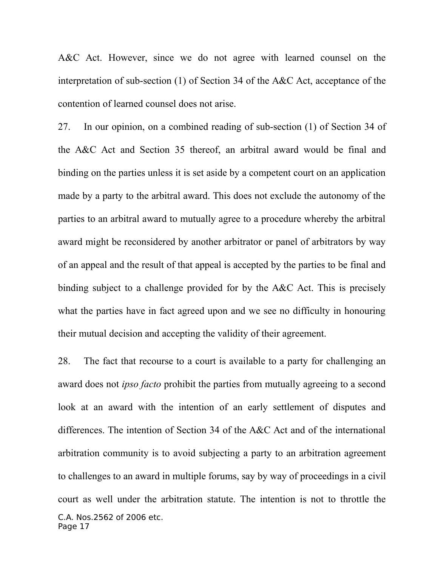A&C Act. However, since we do not agree with learned counsel on the interpretation of sub-section (1) of Section 34 of the A&C Act, acceptance of the contention of learned counsel does not arise.

27. In our opinion, on a combined reading of sub-section (1) of Section 34 of the A&C Act and Section 35 thereof, an arbitral award would be final and binding on the parties unless it is set aside by a competent court on an application made by a party to the arbitral award. This does not exclude the autonomy of the parties to an arbitral award to mutually agree to a procedure whereby the arbitral award might be reconsidered by another arbitrator or panel of arbitrators by way of an appeal and the result of that appeal is accepted by the parties to be final and binding subject to a challenge provided for by the A&C Act. This is precisely what the parties have in fact agreed upon and we see no difficulty in honouring their mutual decision and accepting the validity of their agreement.

28. The fact that recourse to a court is available to a party for challenging an award does not *ipso facto* prohibit the parties from mutually agreeing to a second look at an award with the intention of an early settlement of disputes and differences. The intention of Section 34 of the A&C Act and of the international arbitration community is to avoid subjecting a party to an arbitration agreement to challenges to an award in multiple forums, say by way of proceedings in a civil court as well under the arbitration statute. The intention is not to throttle the C.A. Nos.2562 of 2006 etc. Page 17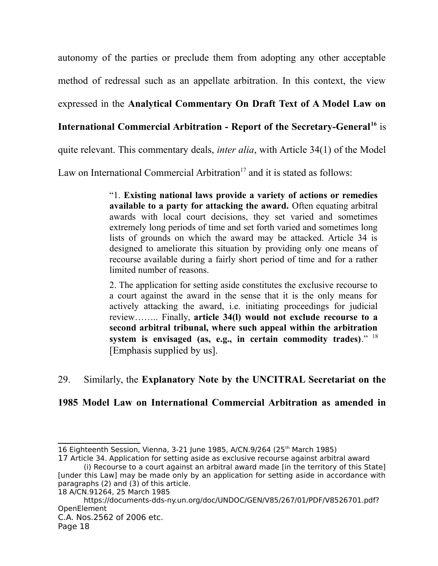autonomy of the parties or preclude them from adopting any other acceptable method of redressal such as an appellate arbitration. In this context, the view expressed in the **Analytical Commentary On Draft Text of A Model Law on**

# **International Commercial Arbitration - Report of the Secretary-General<sup>16</sup>** is

quite relevant. This commentary deals, *inter alia*, with Article 34(1) of the Model

Law on International Commercial Arbitration<sup>17</sup> and it is stated as follows:

"1. **Existing national laws provide a variety of actions or remedies available to a party for attacking the award.** Often equating arbitral awards with local court decisions, they set varied and sometimes extremely long periods of time and set forth varied and sometimes long lists of grounds on which the award may be attacked. Article 34 is designed to ameliorate this situation by providing only one means of recourse available during a fairly short period of time and for a rather limited number of reasons.

2. The application for setting aside constitutes the exclusive recourse to a court against the award in the sense that it is the only means for actively attacking the award, i.e. initiating proceedings for judicial review…….. Finally, **article 34(l) would not exclude recourse to a second arbitral tribunal, where such appeal within the arbitration system is envisaged (as, e.g., in certain commodity trades)**." <sup>18</sup> [Emphasis supplied by us].

## 29. Similarly, the **Explanatory Note by the UNCITRAL Secretariat on the**

## **1985 Model Law on International Commercial Arbitration as amended in**

<sup>16</sup> Eighteenth Session, Vienna, 3-21 June 1985, A/CN.9/264 (25<sup>th</sup> March 1985)

<sup>17</sup> Article 34. Application for setting aside as exclusive recourse against arbitral award (i) Recourse to a court against an arbitral award made [in the territory of this State]

<sup>[</sup>under this Law] may be made only by an application for setting aside in accordance with paragraphs (2) and (3) of this article.

<sup>18</sup> A/CN.91264, 25 March 1985

https://documents-dds-ny.un.org/doc/UNDOC/GEN/V85/267/01/PDF/V8526701.pdf? OpenElement C.A. Nos.2562 of 2006 etc.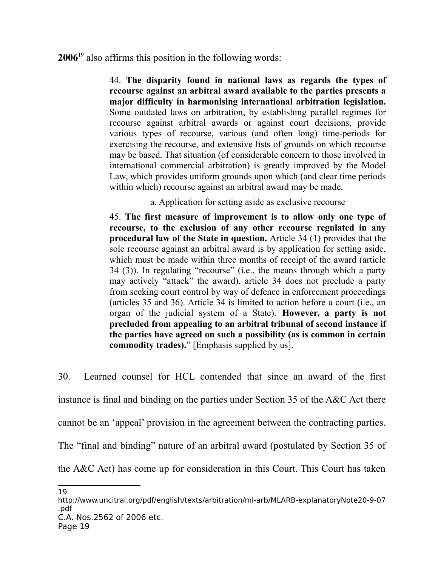**2006<sup>19</sup>** also affirms this position in the following words:

44. **The disparity found in national laws as regards the types of recourse against an arbitral award available to the parties presents a major difficulty in harmonising international arbitration legislation.** Some outdated laws on arbitration, by establishing parallel regimes for recourse against arbitral awards or against court decisions, provide various types of recourse, various (and often long) time-periods for exercising the recourse, and extensive lists of grounds on which recourse may be based. That situation (of considerable concern to those involved in international commercial arbitration) is greatly improved by the Model Law, which provides uniform grounds upon which (and clear time periods within which) recourse against an arbitral award may be made.

a. Application for setting aside as exclusive recourse

45. **The first measure of improvement is to allow only one type of recourse, to the exclusion of any other recourse regulated in any procedural law of the State in question.** Article 34 (1) provides that the sole recourse against an arbitral award is by application for setting aside, which must be made within three months of receipt of the award (article 34 (3)). In regulating "recourse" (i.e., the means through which a party may actively "attack" the award), article 34 does not preclude a party from seeking court control by way of defence in enforcement proceedings (articles 35 and 36). Article 34 is limited to action before a court (i.e., an organ of the judicial system of a State). **However, a party is not precluded from appealing to an arbitral tribunal of second instance if the parties have agreed on such a possibility (as is common in certain commodity trades).**" [Emphasis supplied by us].

30. Learned counsel for HCL contended that since an award of the first instance is final and binding on the parties under Section 35 of the A&C Act there cannot be an 'appeal' provision in the agreement between the contracting parties. The "final and binding" nature of an arbitral award (postulated by Section 35 of the A&C Act) has come up for consideration in this Court. This Court has taken

<sup>19</sup>

http://www.uncitral.org/pdf/english/texts/arbitration/ml-arb/MLARB-explanatoryNote20-9-07 .pdf C.A. Nos.2562 of 2006 etc.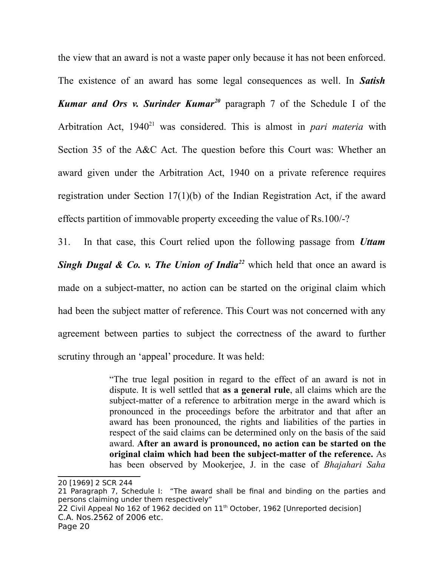the view that an award is not a waste paper only because it has not been enforced.

The existence of an award has some legal consequences as well. In *Satish Kumar and Ors v. Surinder Kumar<sup>20</sup>* paragraph 7 of the Schedule I of the Arbitration Act, 1940<sup>21</sup> was considered. This is almost in *pari materia* with Section 35 of the A&C Act. The question before this Court was: Whether an award given under the Arbitration Act, 1940 on a private reference requires registration under Section 17(1)(b) of the Indian Registration Act, if the award effects partition of immovable property exceeding the value of Rs.100/-?

31. In that case, this Court relied upon the following passage from *Uttam Singh Dugal & Co. v. The Union of India*<sup>22</sup> which held that once an award is made on a subject-matter, no action can be started on the original claim which had been the subject matter of reference. This Court was not concerned with any agreement between parties to subject the correctness of the award to further scrutiny through an 'appeal' procedure. It was held:

> "The true legal position in regard to the effect of an award is not in dispute. It is well settled that **as a general rule**, all claims which are the subject-matter of a reference to arbitration merge in the award which is pronounced in the proceedings before the arbitrator and that after an award has been pronounced, the rights and liabilities of the parties in respect of the said claims can be determined only on the basis of the said award. **After an award is pronounced, no action can be started on the original claim which had been the subject-matter of the reference.** As has been observed by Mookerjee, J. in the case of *Bhajahari Saha*

 $22$  Civil Appeal No 162 of 1962 decided on  $11<sup>th</sup>$  October, 1962 [Unreported decision] C.A. Nos.2562 of 2006 etc.

<sup>20 [1969] 2</sup> SCR 244

<sup>21</sup> Paragraph 7, Schedule I: "The award shall be final and binding on the parties and persons claiming under them respectively"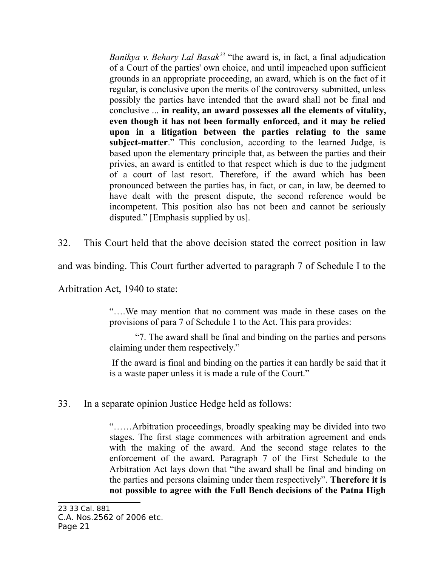*Banikya v. Behary Lal Basak<sup>23</sup>* "the award is, in fact, a final adjudication of a Court of the parties' own choice, and until impeached upon sufficient grounds in an appropriate proceeding, an award, which is on the fact of it regular, is conclusive upon the merits of the controversy submitted, unless possibly the parties have intended that the award shall not be final and conclusive ... **in reality, an award possesses all the elements of vitality, even though it has not been formally enforced, and it may be relied upon in a litigation between the parties relating to the same subject-matter**." This conclusion, according to the learned Judge, is based upon the elementary principle that, as between the parties and their privies, an award is entitled to that respect which is due to the judgment of a court of last resort. Therefore, if the award which has been pronounced between the parties has, in fact, or can, in law, be deemed to have dealt with the present dispute, the second reference would be incompetent. This position also has not been and cannot be seriously disputed." [Emphasis supplied by us].

32. This Court held that the above decision stated the correct position in law

and was binding. This Court further adverted to paragraph 7 of Schedule I to the

Arbitration Act, 1940 to state:

"….We may mention that no comment was made in these cases on the provisions of para 7 of Schedule 1 to the Act. This para provides:

"7. The award shall be final and binding on the parties and persons claiming under them respectively."

If the award is final and binding on the parties it can hardly be said that it is a waste paper unless it is made a rule of the Court."

33. In a separate opinion Justice Hedge held as follows:

"……Arbitration proceedings, broadly speaking may be divided into two stages. The first stage commences with arbitration agreement and ends with the making of the award. And the second stage relates to the enforcement of the award. Paragraph 7 of the First Schedule to the Arbitration Act lays down that "the award shall be final and binding on the parties and persons claiming under them respectively". **Therefore it is not possible to agree with the Full Bench decisions of the Patna High**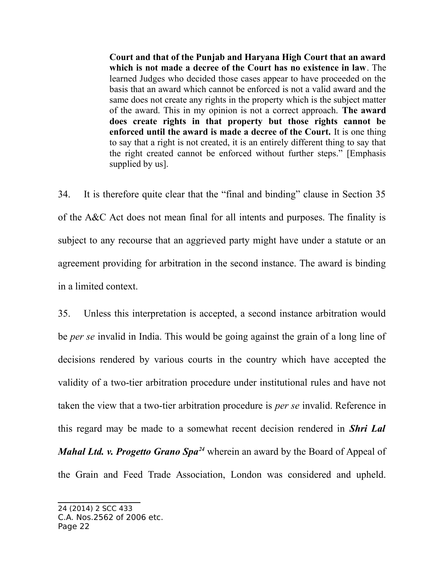**Court and that of the Punjab and Haryana High Court that an award which is not made a decree of the Court has no existence in law**. The learned Judges who decided those cases appear to have proceeded on the basis that an award which cannot be enforced is not a valid award and the same does not create any rights in the property which is the subject matter of the award. This in my opinion is not a correct approach. **The award does create rights in that property but those rights cannot be enforced until the award is made a decree of the Court.** It is one thing to say that a right is not created, it is an entirely different thing to say that the right created cannot be enforced without further steps." [Emphasis supplied by us].

34. It is therefore quite clear that the "final and binding" clause in Section 35 of the A&C Act does not mean final for all intents and purposes. The finality is subject to any recourse that an aggrieved party might have under a statute or an agreement providing for arbitration in the second instance. The award is binding in a limited context.

35. Unless this interpretation is accepted, a second instance arbitration would be *per se* invalid in India. This would be going against the grain of a long line of decisions rendered by various courts in the country which have accepted the validity of a two-tier arbitration procedure under institutional rules and have not taken the view that a two-tier arbitration procedure is *per se* invalid. Reference in this regard may be made to a somewhat recent decision rendered in *Shri Lal Mahal Ltd. v. Progetto Grano Spa<sup>24</sup>* wherein an award by the Board of Appeal of the Grain and Feed Trade Association, London was considered and upheld.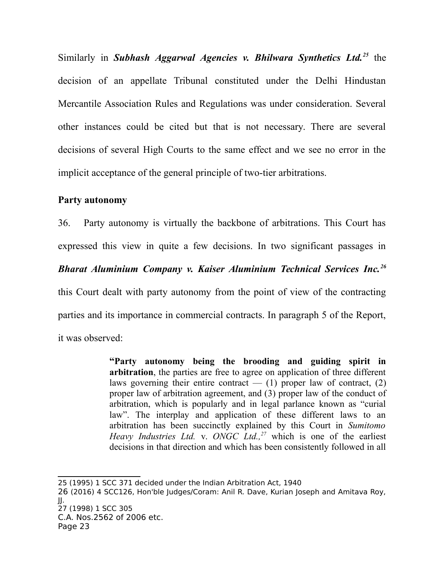Similarly in *Subhash Aggarwal Agencies v. Bhilwara Synthetics Ltd.<sup>25</sup>* the decision of an appellate Tribunal constituted under the Delhi Hindustan Mercantile Association Rules and Regulations was under consideration. Several other instances could be cited but that is not necessary. There are several decisions of several High Courts to the same effect and we see no error in the implicit acceptance of the general principle of two-tier arbitrations.

#### **Party autonomy**

36. Party autonomy is virtually the backbone of arbitrations. This Court has expressed this view in quite a few decisions. In two significant passages in *Bharat Aluminium Company v. Kaiser Aluminium Technical Services Inc.<sup>26</sup>* this Court dealt with party autonomy from the point of view of the contracting parties and its importance in commercial contracts. In paragraph 5 of the Report, it was observed:

> **"Party autonomy being the brooding and guiding spirit in arbitration**, the parties are free to agree on application of three different laws governing their entire contract  $-$  (1) proper law of contract, (2) proper law of arbitration agreement, and (3) proper law of the conduct of arbitration, which is popularly and in legal parlance known as "curial law". The interplay and application of these different laws to an arbitration has been succinctly explained by this Court in *Sumitomo Heavy Industries Ltd.* v. *ONGC Ltd.,<sup>27</sup>* which is one of the earliest decisions in that direction and which has been consistently followed in all

- 26 (2016) 4 SCC126, Hon'ble Judges/Coram: Anil R. Dave, Kurian Joseph and Amitava Roy, JJ. 27 (1998) 1 SCC 305
- C.A. Nos.2562 of 2006 etc.

<sup>25 (1995) 1</sup> SCC 371 decided under the Indian Arbitration Act, 1940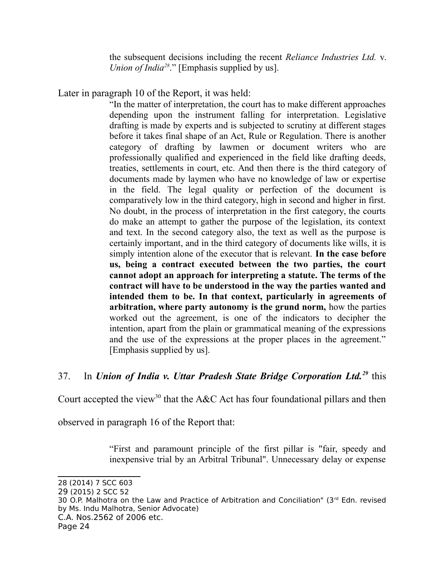the subsequent decisions including the recent *Reliance Industries Ltd.* v. *Union of India<sup>28</sup>*." [Emphasis supplied by us].

Later in paragraph 10 of the Report, it was held:

"In the matter of interpretation, the court has to make different approaches depending upon the instrument falling for interpretation. Legislative drafting is made by experts and is subjected to scrutiny at different stages before it takes final shape of an Act, Rule or Regulation. There is another category of drafting by lawmen or document writers who are professionally qualified and experienced in the field like drafting deeds, treaties, settlements in court, etc. And then there is the third category of documents made by laymen who have no knowledge of law or expertise in the field. The legal quality or perfection of the document is comparatively low in the third category, high in second and higher in first. No doubt, in the process of interpretation in the first category, the courts do make an attempt to gather the purpose of the legislation, its context and text. In the second category also, the text as well as the purpose is certainly important, and in the third category of documents like wills, it is simply intention alone of the executor that is relevant. **In the case before us, being a contract executed between the two parties, the court cannot adopt an approach for interpreting a statute. The terms of the contract will have to be understood in the way the parties wanted and intended them to be. In that context, particularly in agreements of arbitration, where party autonomy is the grund norm,** how the parties worked out the agreement, is one of the indicators to decipher the intention, apart from the plain or grammatical meaning of the expressions and the use of the expressions at the proper places in the agreement." [Emphasis supplied by us].

## 37. In *Union of India v. Uttar Pradesh State Bridge Corporation Ltd.<sup>29</sup>* this

Court accepted the view<sup>30</sup> that the A&C Act has four foundational pillars and then

observed in paragraph 16 of the Report that:

"First and paramount principle of the first pillar is "fair, speedy and inexpensive trial by an Arbitral Tribunal". Unnecessary delay or expense

30 O.P. Malhotra on the Law and Practice of Arbitration and Conciliation" (3<sup>rd</sup> Edn. revised by Ms. Indu Malhotra, Senior Advocate) C.A. Nos.2562 of 2006 etc.

<sup>28 (2014) 7</sup> SCC 603

<sup>29</sup> (2015) 2 SCC 52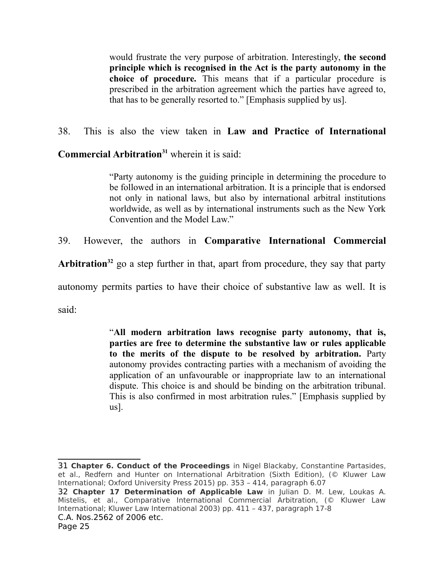would frustrate the very purpose of arbitration. Interestingly, **the second principle which is recognised in the Act is the party autonomy in the choice of procedure.** This means that if a particular procedure is prescribed in the arbitration agreement which the parties have agreed to, that has to be generally resorted to." [Emphasis supplied by us].

# 38. This is also the view taken in **Law and Practice of International**

**Commercial Arbitration<sup>31</sup>** wherein it is said:

"Party autonomy is the guiding principle in determining the procedure to be followed in an international arbitration. It is a principle that is endorsed not only in national laws, but also by international arbitral institutions worldwide, as well as by international instruments such as the New York Convention and the Model Law."

39. However, the authors in **Comparative International Commercial**

**Arbitration<sup>32</sup>** go a step further in that, apart from procedure, they say that party

autonomy permits parties to have their choice of substantive law as well. It is

said:

"**All modern arbitration laws recognise party autonomy, that is, parties are free to determine the substantive law or rules applicable to the merits of the dispute to be resolved by arbitration.** Party autonomy provides contracting parties with a mechanism of avoiding the application of an unfavourable or inappropriate law to an international dispute. This choice is and should be binding on the arbitration tribunal. This is also confirmed in most arbitration rules." [Emphasis supplied by us].

<sup>31</sup> **Chapter 6. Conduct of the Proceedings** in Nigel Blackaby, Constantine Partasides, et al., Redfern and Hunter on International Arbitration (Sixth Edition), (© Kluwer Law International; Oxford University Press 2015) pp. 353 - 414, paragraph 6.07

<sup>32</sup> **Chapter 17 Determination of Applicable Law** in Julian D. M. Lew, Loukas A. Mistelis, et al., Comparative International Commercial Arbitration, (© Kluwer Law International; Kluwer Law International 2003) pp. 411 – 437, paragraph 17-8 C.A. Nos.2562 of 2006 etc.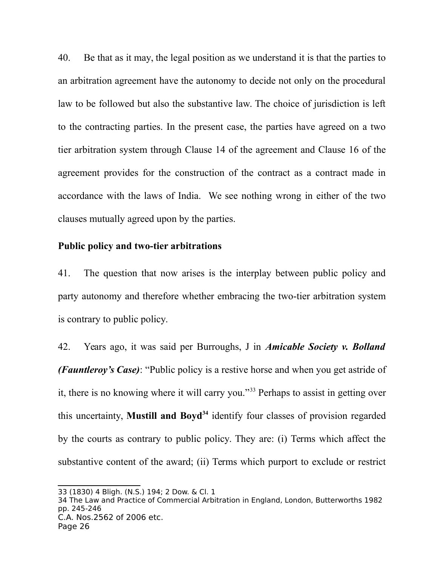40. Be that as it may, the legal position as we understand it is that the parties to an arbitration agreement have the autonomy to decide not only on the procedural law to be followed but also the substantive law. The choice of jurisdiction is left to the contracting parties. In the present case, the parties have agreed on a two tier arbitration system through Clause 14 of the agreement and Clause 16 of the agreement provides for the construction of the contract as a contract made in accordance with the laws of India. We see nothing wrong in either of the two clauses mutually agreed upon by the parties.

#### **Public policy and two-tier arbitrations**

41. The question that now arises is the interplay between public policy and party autonomy and therefore whether embracing the two-tier arbitration system is contrary to public policy.

42. Years ago, it was said per Burroughs, J in *Amicable Society v. Bolland (Fauntleroy's Case)*: "Public policy is a restive horse and when you get astride of it, there is no knowing where it will carry you."<sup>33</sup> Perhaps to assist in getting over this uncertainty, **Mustill and Boyd<sup>34</sup>** identify four classes of provision regarded by the courts as contrary to public policy. They are: (i) Terms which affect the substantive content of the award; (ii) Terms which purport to exclude or restrict

<sup>33 (1830) 4</sup> Bligh. (N.S.) 194; 2 Dow. & Cl. 1

<sup>34</sup> The Law and Practice of Commercial Arbitration in England, London, Butterworths 1982 pp. 245-246 C.A. Nos.2562 of 2006 etc. Page 26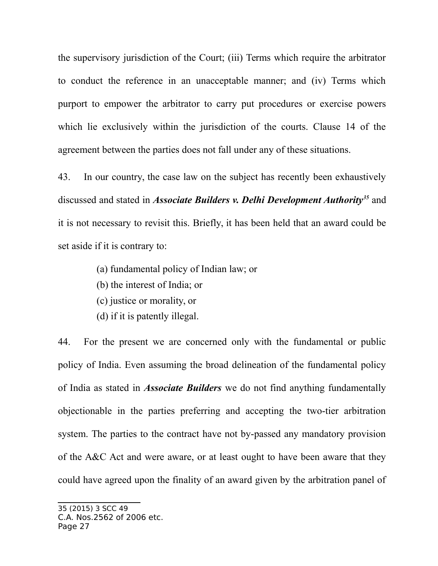the supervisory jurisdiction of the Court; (iii) Terms which require the arbitrator to conduct the reference in an unacceptable manner; and (iv) Terms which purport to empower the arbitrator to carry put procedures or exercise powers which lie exclusively within the jurisdiction of the courts. Clause 14 of the agreement between the parties does not fall under any of these situations.

43. In our country, the case law on the subject has recently been exhaustively discussed and stated in *Associate Builders v. Delhi Development Authority<sup>35</sup>* and it is not necessary to revisit this. Briefly, it has been held that an award could be set aside if it is contrary to:

- (a) fundamental policy of Indian law; or
- (b) the interest of India; or
- (c) justice or morality, or
- (d) if it is patently illegal.

44. For the present we are concerned only with the fundamental or public policy of India. Even assuming the broad delineation of the fundamental policy of India as stated in *Associate Builders* we do not find anything fundamentally objectionable in the parties preferring and accepting the two-tier arbitration system. The parties to the contract have not by-passed any mandatory provision of the A&C Act and were aware, or at least ought to have been aware that they could have agreed upon the finality of an award given by the arbitration panel of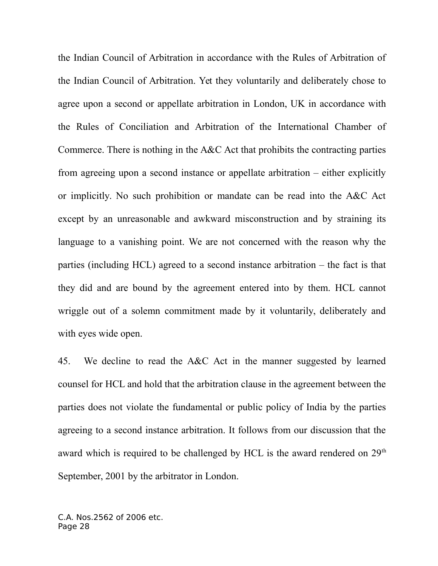the Indian Council of Arbitration in accordance with the Rules of Arbitration of the Indian Council of Arbitration. Yet they voluntarily and deliberately chose to agree upon a second or appellate arbitration in London, UK in accordance with the Rules of Conciliation and Arbitration of the International Chamber of Commerce. There is nothing in the A&C Act that prohibits the contracting parties from agreeing upon a second instance or appellate arbitration – either explicitly or implicitly. No such prohibition or mandate can be read into the A&C Act except by an unreasonable and awkward misconstruction and by straining its language to a vanishing point. We are not concerned with the reason why the parties (including HCL) agreed to a second instance arbitration – the fact is that they did and are bound by the agreement entered into by them. HCL cannot wriggle out of a solemn commitment made by it voluntarily, deliberately and with eyes wide open.

45. We decline to read the A&C Act in the manner suggested by learned counsel for HCL and hold that the arbitration clause in the agreement between the parties does not violate the fundamental or public policy of India by the parties agreeing to a second instance arbitration. It follows from our discussion that the award which is required to be challenged by HCL is the award rendered on  $29<sup>th</sup>$ September, 2001 by the arbitrator in London.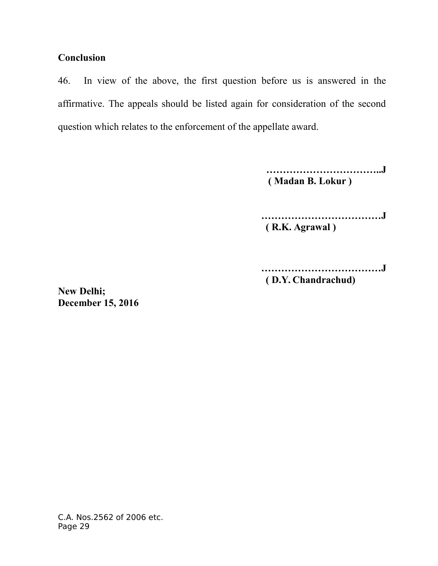## **Conclusion**

46. In view of the above, the first question before us is answered in the affirmative. The appeals should be listed again for consideration of the second question which relates to the enforcement of the appellate award.

> **……………………………..J ( Madan B. Lokur )**

 **………………………………J ( R.K. Agrawal )**

 **………………………………J ( D.Y. Chandrachud)**

**New Delhi; December 15, 2016**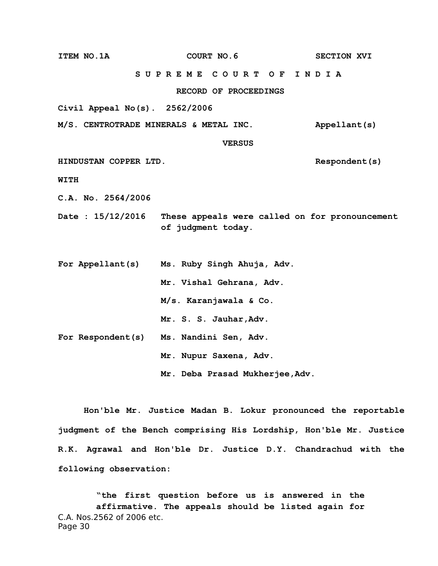**ITEM NO.1A COURT NO.6** SECTION XVI  **S U P R E M E C O U R T O F I N D I A RECORD OF PROCEEDINGS Civil Appeal No(s). 2562/2006 M/S. CENTROTRADE MINERALS & METAL INC. Appellant(s) VERSUS HINDUSTAN COPPER LTD. Respondent(s) WITH C.A. No. 2564/2006 Date : 15/12/2016 These appeals were called on for pronouncement of judgment today. For Appellant(s) Ms. Ruby Singh Ahuja, Adv. Mr. Vishal Gehrana, Adv. M/s. Karanjawala & Co. Mr. S. S. Jauhar,Adv. For Respondent(s) Ms. Nandini Sen, Adv. Mr. Nupur Saxena, Adv. Mr. Deba Prasad Mukherjee,Adv.**

**Hon'ble Mr. Justice Madan B. Lokur pronounced the reportable judgment of the Bench comprising His Lordship, Hon'ble Mr. Justice R.K. Agrawal and Hon'ble Dr. Justice D.Y. Chandrachud with the following observation:**

**"the first question before us is answered in the affirmative. The appeals should be listed again for** C.A. Nos.2562 of 2006 etc. Page 30